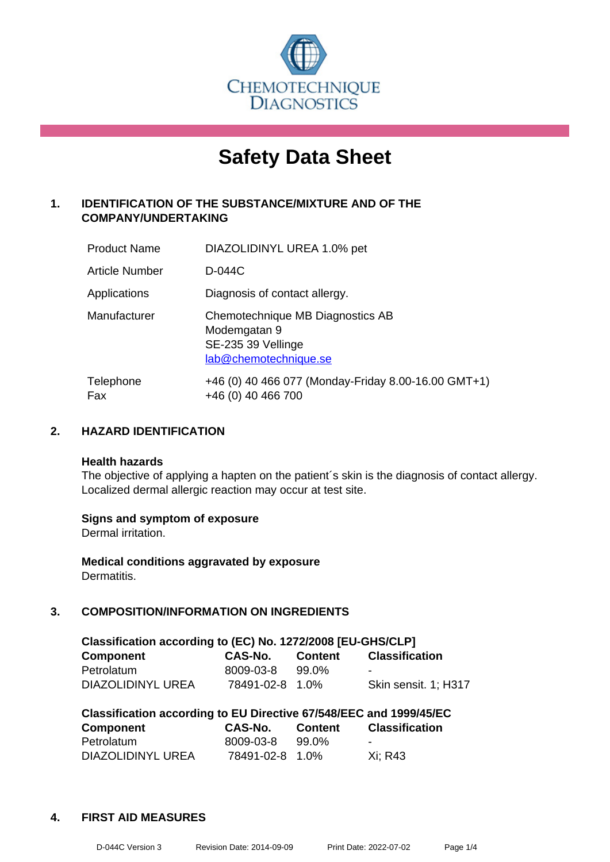

# **Safety Data Sheet**

# **1. IDENTIFICATION OF THE SUBSTANCE/MIXTURE AND OF THE COMPANY/UNDERTAKING**

| <b>Product Name</b>   | DIAZOLIDINYL UREA 1.0% pet                                                                      |
|-----------------------|-------------------------------------------------------------------------------------------------|
| <b>Article Number</b> | D-044C                                                                                          |
| Applications          | Diagnosis of contact allergy.                                                                   |
| Manufacturer          | Chemotechnique MB Diagnostics AB<br>Modemgatan 9<br>SE-235 39 Vellinge<br>lab@chemotechnique.se |
| Telephone<br>Fax      | +46 (0) 40 466 077 (Monday-Friday 8.00-16.00 GMT+1)<br>+46 (0) 40 466 700                       |

# **2. HAZARD IDENTIFICATION**

#### **Health hazards**

The objective of applying a hapten on the patient's skin is the diagnosis of contact allergy. Localized dermal allergic reaction may occur at test site.

# **Signs and symptom of exposure**

Dermal irritation.

**Medical conditions aggravated by exposure** Dermatitis.

# **3. COMPOSITION/INFORMATION ON INGREDIENTS**

| Classification according to (EC) No. 1272/2008 [EU-GHS/CLP] |                 |         |                       |  |
|-------------------------------------------------------------|-----------------|---------|-----------------------|--|
| <b>Component</b>                                            | CAS-No.         | Content | <b>Classification</b> |  |
| Petrolatum                                                  | 8009-03-8       | 99.0%   | -                     |  |
| DIAZOLIDINYL UREA                                           | 78491-02-8 1.0% |         | Skin sensit. 1: H317  |  |

| Classification according to EU Directive 67/548/EEC and 1999/45/EC |                 |                |                       |  |
|--------------------------------------------------------------------|-----------------|----------------|-----------------------|--|
| Component                                                          | CAS-No.         | <b>Content</b> | <b>Classification</b> |  |
| Petrolatum                                                         | 8009-03-8       | 99.0%          | -                     |  |
| DIAZOLIDINYL UREA                                                  | 78491-02-8 1.0% |                | Xi: R43               |  |

#### **4. FIRST AID MEASURES**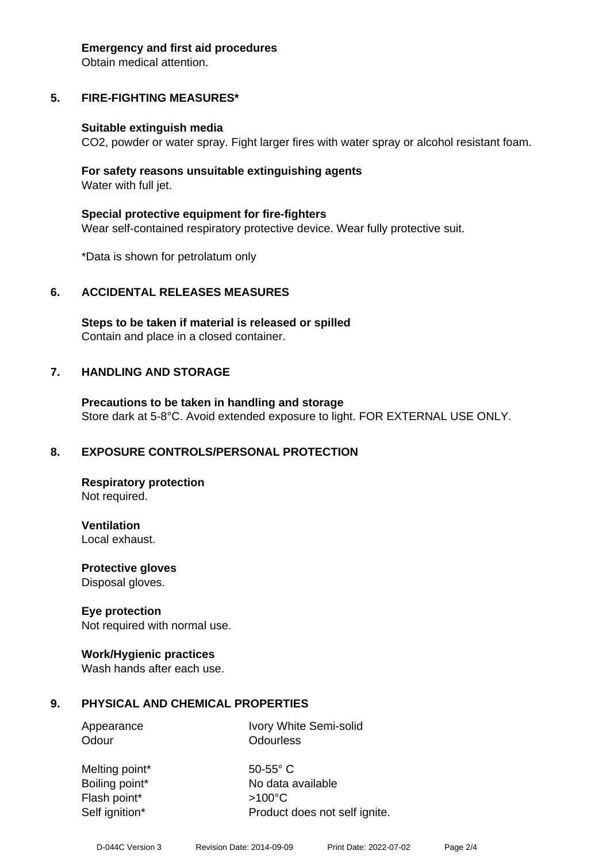#### **Emergency and first aid procedures**

Obtain medical attention.

# **5. FIRE-FIGHTING MEASURES\***

#### **Suitable extinguish media**

CO2, powder or water spray. Fight larger fires with water spray or alcohol resistant foam.

#### **For safety reasons unsuitable extinguishing agents** Water with full jet.

**Special protective equipment for fire-fighters** Wear self-contained respiratory protective device. Wear fully protective suit.

\*Data is shown for petrolatum only

# **6. ACCIDENTAL RELEASES MEASURES**

**Steps to be taken if material is released or spilled** Contain and place in a closed container.

# **7. HANDLING AND STORAGE**

**Precautions to be taken in handling and storage** Store dark at 5-8°C. Avoid extended exposure to light. FOR EXTERNAL USE ONLY.

# **8. EXPOSURE CONTROLS/PERSONAL PROTECTION**

**Respiratory protection** Not required.

**Ventilation** Local exhaust.

**Protective gloves** Disposal gloves.

# **Eye protection**

Not required with normal use.

# **Work/Hygienic practices**

Wash hands after each use.

# **9. PHYSICAL AND CHEMICAL PROPERTIES**

Odour **Odourless** 

Appearance Ivory White Semi-solid

Melting point\* 50-55° C Flash point\* >100°C

Boiling point\* No data available Self ignition\* Product does not self ignite.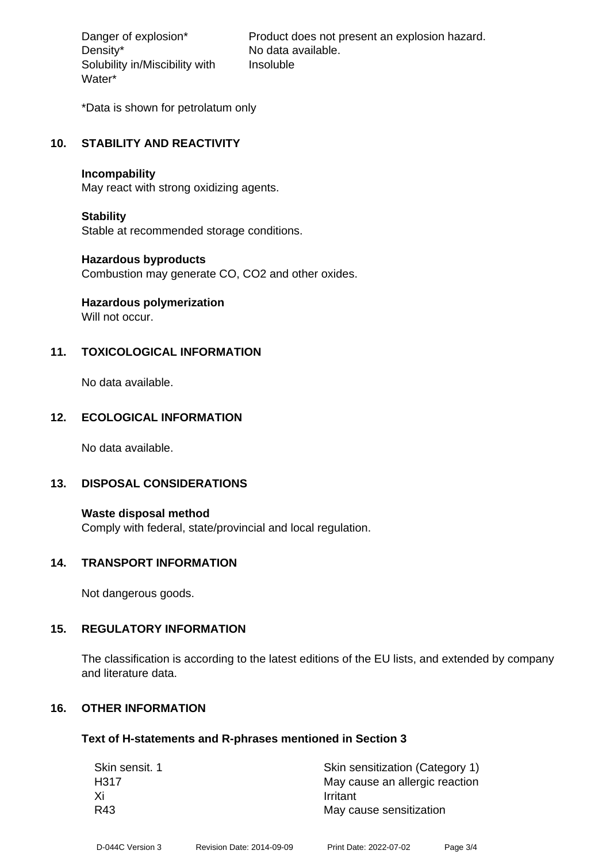Density\* No data available. Solubility in/Miscibility with Water\*

Danger of explosion\* Product does not present an explosion hazard. Insoluble

\*Data is shown for petrolatum only

#### **10. STABILITY AND REACTIVITY**

#### **Incompability**

May react with strong oxidizing agents.

#### **Stability**

Stable at recommended storage conditions.

#### **Hazardous byproducts**

Combustion may generate CO, CO2 and other oxides.

# **Hazardous polymerization**

Will not occur.

# **11. TOXICOLOGICAL INFORMATION**

No data available.

# **12. ECOLOGICAL INFORMATION**

No data available.

# **13. DISPOSAL CONSIDERATIONS**

**Waste disposal method** Comply with federal, state/provincial and local regulation.

#### **14. TRANSPORT INFORMATION**

Not dangerous goods.

# **15. REGULATORY INFORMATION**

The classification is according to the latest editions of the EU lists, and extended by company and literature data.

# **16. OTHER INFORMATION**

#### **Text of H-statements and R-phrases mentioned in Section 3**

| Skin sensit. 1 | Skin sensitization (Category 1) |  |  |
|----------------|---------------------------------|--|--|
| H317           | May cause an allergic reaction  |  |  |
| Хi             | Irritant                        |  |  |
| R43            | May cause sensitization         |  |  |
|                |                                 |  |  |